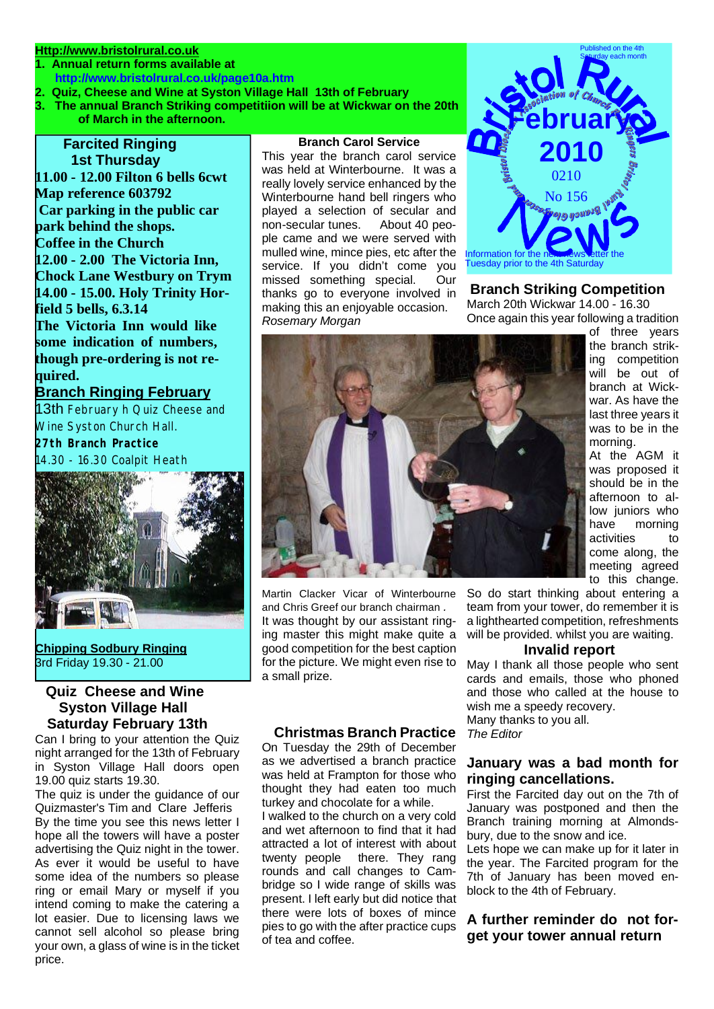# **Http://www.bristolrural.co.uk**

- **1. Annual return forms available at http://www.bristolrural.co.uk/page10a.htm**
- **2. Quiz, Cheese and Wine at Syston Village Hall 13th of February**
- **3. The annual Branch Striking competitiion will be at Wickwar on the 20th of March in the afternoon.**

# **Farcited Ringing 1st Thursday**

**11.00 - 12.00 Filton 6 bells 6cwt Map reference 603792 Car parking in the public car park behind the shops. Coffee in the Church 12.00 - 2.00 The Victoria Inn, Chock Lane Westbury on Trym 14.00 - 15.00. Holy Trinity Horfield 5 bells, 6.3.14 The Victoria Inn would like some indication of numbers, though pre-ordering is not required.**

# **Branch Ringing February**

13th February h Quiz Cheese and Wine Syston Church Hall.

**27th Branch Practice** 14.30 - 16.30 Coalpit Heath



**Chipping Sodbury Ringing** 3rd Friday 19.30 - 21.00

# **Quiz Cheese and Wine Syston Village Hall Saturday February 13th**

Can I bring to your attention the Quiz night arranged for the 13th of February in Syston Village Hall doors open 19.00 quiz starts 19.30.

The quiz is under the guidance of our Quizmaster's Tim and Clare Jefferis By the time you see this news letter I hope all the towers will have a poster advertising the Quiz night in the tower. As ever it would be useful to have some idea of the numbers so please ring or email Mary or myself if you intend coming to make the catering a lot easier. Due to licensing laws we cannot sell alcohol so please bring your own, a glass of wine is in the ticket price.

#### **Branch Carol Service**

This year the branch carol service was held at Winterbourne. It was a really lovely service enhanced by the Winterbourne hand bell ringers who played a selection of secular and non-secular tunes. About 40 people came and we were served with mulled wine, mince pies, etc after the service. If you didn't come you missed something special. Our thanks go to everyone involved in making this an enjoyable occasion. *Rosemary Morgan*



## **Branch Striking Competition**

March 20th Wickwar 14.00 - 16.30 Once again this year following a tradition



Martin Clacker Vicar of Winterbourne and Chris Greef our branch chairman *.*  It was thought by our assistant ringing master this might make quite a good competition for the best caption for the picture. We might even rise to a small prize.

### **Christmas Branch Practice**

On Tuesday the 29th of December as we advertised a branch practice was held at Frampton for those who thought they had eaten too much turkey and chocolate for a while.

I walked to the church on a very cold and wet afternoon to find that it had attracted a lot of interest with about twenty people there. They rang rounds and call changes to Cambridge so I wide range of skills was present. I left early but did notice that there were lots of boxes of mince pies to go with the after practice cups of tea and coffee.

So do start thinking about entering a team from your tower, do remember it is a lighthearted competition, refreshments will be provided. whilst you are waiting.

#### **Invalid report**

May I thank all those people who sent cards and emails, those who phoned and those who called at the house to wish me a speedy recovery. Many thanks to you all.

*The Editor*

#### **January was a bad month for ringing cancellations.**

First the Farcited day out on the 7th of January was postponed and then the Branch training morning at Almondsbury, due to the snow and ice.

Lets hope we can make up for it later in the year. The Farcited program for the 7th of January has been moved enblock to the 4th of February.

### **A further reminder do not forget your tower annual return**